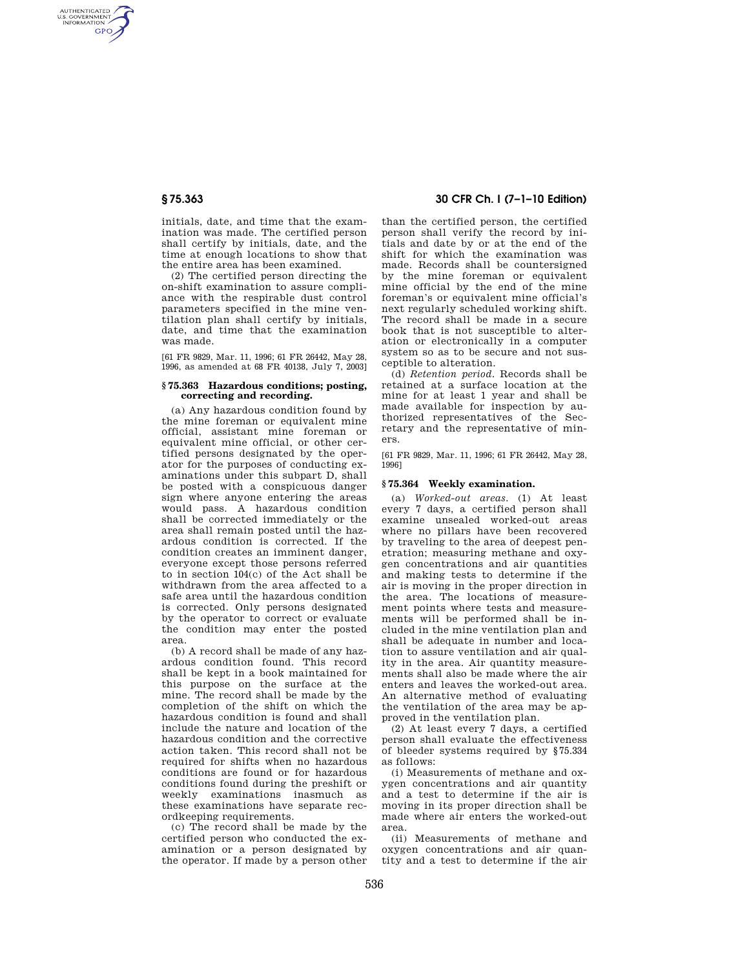AUTHENTICATED<br>U.S. GOVERNMENT<br>INFORMATION **GPO** 

> initials, date, and time that the examination was made. The certified person shall certify by initials, date, and the time at enough locations to show that the entire area has been examined.

> (2) The certified person directing the on-shift examination to assure compliance with the respirable dust control parameters specified in the mine ventilation plan shall certify by initials, date, and time that the examination was made.

> [61 FR 9829, Mar. 11, 1996; 61 FR 26442, May 28, 1996, as amended at 68 FR 40138, July 7, 2003]

#### **§ 75.363 Hazardous conditions; posting, correcting and recording.**

(a) Any hazardous condition found by the mine foreman or equivalent mine official, assistant mine foreman or equivalent mine official, or other certified persons designated by the operator for the purposes of conducting examinations under this subpart D, shall be posted with a conspicuous danger sign where anyone entering the areas would pass. A hazardous condition shall be corrected immediately or the area shall remain posted until the hazardous condition is corrected. If the condition creates an imminent danger, everyone except those persons referred to in section 104(c) of the Act shall be withdrawn from the area affected to a safe area until the hazardous condition is corrected. Only persons designated by the operator to correct or evaluate the condition may enter the posted area.

(b) A record shall be made of any hazardous condition found. This record shall be kept in a book maintained for this purpose on the surface at the mine. The record shall be made by the completion of the shift on which the hazardous condition is found and shall include the nature and location of the hazardous condition and the corrective action taken. This record shall not be required for shifts when no hazardous conditions are found or for hazardous conditions found during the preshift or weekly examinations inasmuch as these examinations have separate recordkeeping requirements.

(c) The record shall be made by the certified person who conducted the examination or a person designated by the operator. If made by a person other

# **§ 75.363 30 CFR Ch. I (7–1–10 Edition)**

than the certified person, the certified person shall verify the record by initials and date by or at the end of the shift for which the examination was made. Records shall be countersigned by the mine foreman or equivalent mine official by the end of the mine foreman's or equivalent mine official's next regularly scheduled working shift. The record shall be made in a secure book that is not susceptible to alteration or electronically in a computer system so as to be secure and not susceptible to alteration.

(d) *Retention period.* Records shall be retained at a surface location at the mine for at least 1 year and shall be made available for inspection by authorized representatives of the Secretary and the representative of miners.

[61 FR 9829, Mar. 11, 1996; 61 FR 26442, May 28, 1996]

### **§ 75.364 Weekly examination.**

(a) *Worked-out areas.* (1) At least every 7 days, a certified person shall examine unsealed worked-out areas where no pillars have been recovered by traveling to the area of deepest penetration; measuring methane and oxygen concentrations and air quantities and making tests to determine if the air is moving in the proper direction in the area. The locations of measurement points where tests and measurements will be performed shall be included in the mine ventilation plan and shall be adequate in number and location to assure ventilation and air quality in the area. Air quantity measurements shall also be made where the air enters and leaves the worked-out area. An alternative method of evaluating the ventilation of the area may be approved in the ventilation plan.

(2) At least every 7 days, a certified person shall evaluate the effectiveness of bleeder systems required by §75.334 as follows:

(i) Measurements of methane and oxygen concentrations and air quantity and a test to determine if the air is moving in its proper direction shall be made where air enters the worked-out area.

(ii) Measurements of methane and oxygen concentrations and air quantity and a test to determine if the air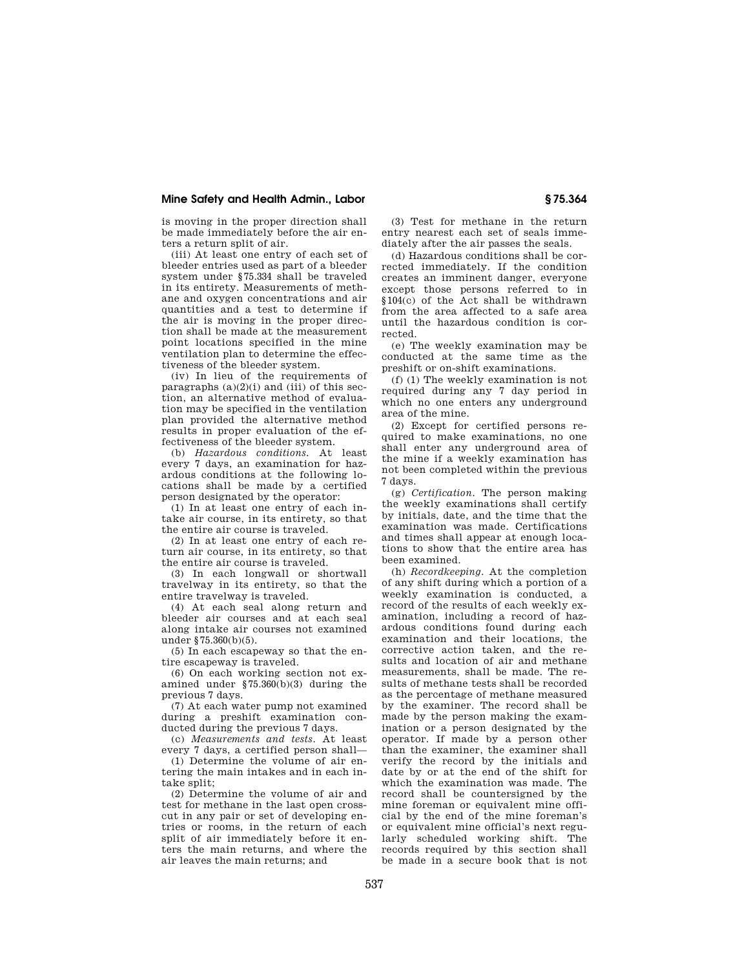## **Mine Safety and Health Admin., Labor § 75.364**

is moving in the proper direction shall be made immediately before the air enters a return split of air.

(iii) At least one entry of each set of bleeder entries used as part of a bleeder system under §75.334 shall be traveled in its entirety. Measurements of methane and oxygen concentrations and air quantities and a test to determine if the air is moving in the proper direction shall be made at the measurement point locations specified in the mine ventilation plan to determine the effectiveness of the bleeder system.

(iv) In lieu of the requirements of paragraphs  $(a)(2)(i)$  and  $(iii)$  of this section, an alternative method of evaluation may be specified in the ventilation plan provided the alternative method results in proper evaluation of the effectiveness of the bleeder system.

(b) *Hazardous conditions.* At least every 7 days, an examination for hazardous conditions at the following locations shall be made by a certified person designated by the operator:

(1) In at least one entry of each intake air course, in its entirety, so that the entire air course is traveled.

(2) In at least one entry of each return air course, in its entirety, so that the entire air course is traveled.

(3) In each longwall or shortwall travelway in its entirety, so that the entire travelway is traveled.

(4) At each seal along return and bleeder air courses and at each seal along intake air courses not examined under §75.360(b)(5).

(5) In each escapeway so that the entire escapeway is traveled.

(6) On each working section not examined under §75.360(b)(3) during the previous 7 days.

(7) At each water pump not examined during a preshift examination conducted during the previous 7 days.

(c) *Measurements and tests.* At least every 7 days, a certified person shall—

(1) Determine the volume of air entering the main intakes and in each intake split;

(2) Determine the volume of air and test for methane in the last open crosscut in any pair or set of developing entries or rooms, in the return of each split of air immediately before it enters the main returns, and where the air leaves the main returns; and

(3) Test for methane in the return entry nearest each set of seals immediately after the air passes the seals.

(d) Hazardous conditions shall be corrected immediately. If the condition creates an imminent danger, everyone except those persons referred to in §104(c) of the Act shall be withdrawn from the area affected to a safe area until the hazardous condition is corrected.

(e) The weekly examination may be conducted at the same time as the preshift or on-shift examinations.

(f) (1) The weekly examination is not required during any 7 day period in which no one enters any underground area of the mine.

(2) Except for certified persons required to make examinations, no one shall enter any underground area of the mine if a weekly examination has not been completed within the previous 7 days.

(g) *Certification.* The person making the weekly examinations shall certify by initials, date, and the time that the examination was made. Certifications and times shall appear at enough locations to show that the entire area has been examined.

(h) *Recordkeeping.* At the completion of any shift during which a portion of a weekly examination is conducted, a record of the results of each weekly examination, including a record of hazardous conditions found during each examination and their locations, the corrective action taken, and the results and location of air and methane measurements, shall be made. The results of methane tests shall be recorded as the percentage of methane measured by the examiner. The record shall be made by the person making the examination or a person designated by the operator. If made by a person other than the examiner, the examiner shall verify the record by the initials and date by or at the end of the shift for which the examination was made. The record shall be countersigned by the mine foreman or equivalent mine official by the end of the mine foreman's or equivalent mine official's next regularly scheduled working shift. The records required by this section shall be made in a secure book that is not